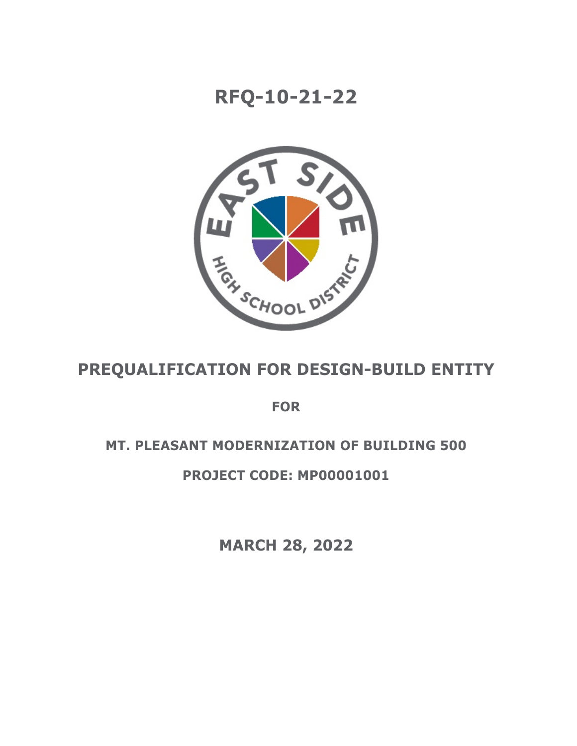# **RFQ-10-21-22**



# **PREQUALIFICATION FOR DESIGN-BUILD ENTITY**

**FOR**

## **MT. PLEASANT MODERNIZATION OF BUILDING 500**

## **PROJECT CODE: MP00001001**

**MARCH 28, 2022**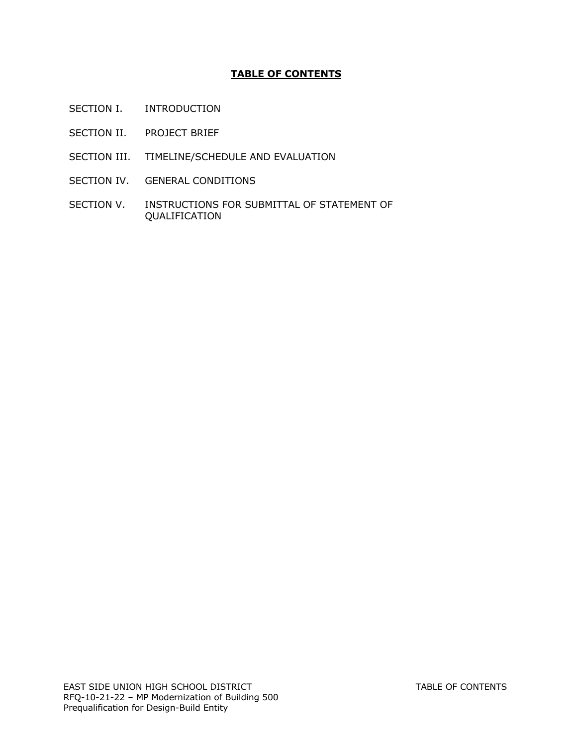## **TABLE OF CONTENTS**

- SECTION I. INTRODUCTION
- SECTION II. PROJECT BRIEF
- SECTION III. TIMELINE/SCHEDULE AND EVALUATION
- SECTION IV. GENERAL CONDITIONS
- SECTION V. INSTRUCTIONS FOR SUBMITTAL OF STATEMENT OF QUALIFICATION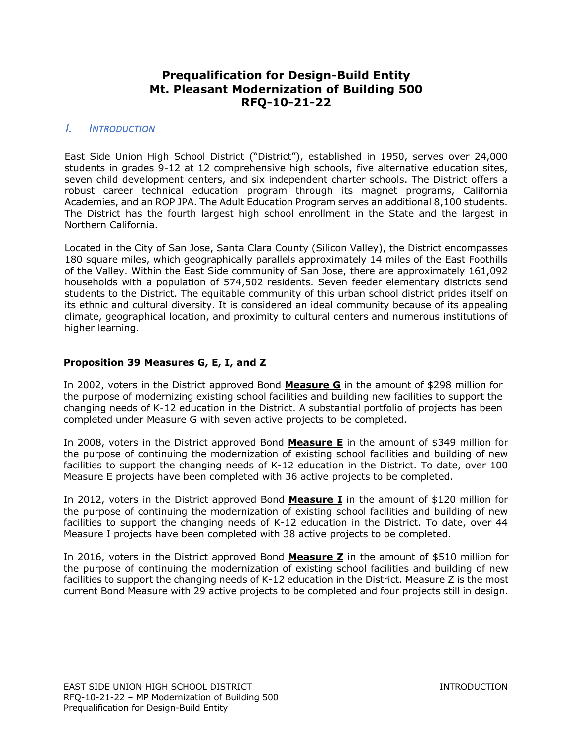## **Prequalification for Design-Build Entity Mt. Pleasant Modernization of Building 500 RFQ-10-21-22**

## *I. INTRODUCTION*

East Side Union High School District ("District"), established in 1950, serves over 24,000 students in grades 9-12 at 12 comprehensive high schools, five alternative education sites, seven child development centers, and six independent charter schools. The District offers a robust career technical education program through its magnet programs, California Academies, and an ROP JPA. The Adult Education Program serves an additional 8,100 students. The District has the fourth largest high school enrollment in the State and the largest in Northern California.

Located in the City of San Jose, Santa Clara County (Silicon Valley), the District encompasses 180 square miles, which geographically parallels approximately 14 miles of the East Foothills of the Valley. Within the East Side community of San Jose, there are approximately 161,092 households with a population of 574,502 residents. Seven feeder elementary districts send students to the District. The equitable community of this urban school district prides itself on its ethnic and cultural diversity. It is considered an ideal community because of its appealing climate, geographical location, and proximity to cultural centers and numerous institutions of higher learning.

#### **Proposition 39 Measures G, E, I, and Z**

In 2002, voters in the District approved Bond **Measure G** in the amount of \$298 million for the purpose of modernizing existing school facilities and building new facilities to support the changing needs of K-12 education in the District. A substantial portfolio of projects has been completed under Measure G with seven active projects to be completed.

In 2008, voters in the District approved Bond **Measure E** in the amount of \$349 million for the purpose of continuing the modernization of existing school facilities and building of new facilities to support the changing needs of K-12 education in the District. To date, over 100 Measure E projects have been completed with 36 active projects to be completed.

In 2012, voters in the District approved Bond **Measure I** in the amount of \$120 million for the purpose of continuing the modernization of existing school facilities and building of new facilities to support the changing needs of K-12 education in the District. To date, over 44 Measure I projects have been completed with 38 active projects to be completed.

In 2016, voters in the District approved Bond **Measure Z** in the amount of \$510 million for the purpose of continuing the modernization of existing school facilities and building of new facilities to support the changing needs of K-12 education in the District. Measure Z is the most current Bond Measure with 29 active projects to be completed and four projects still in design.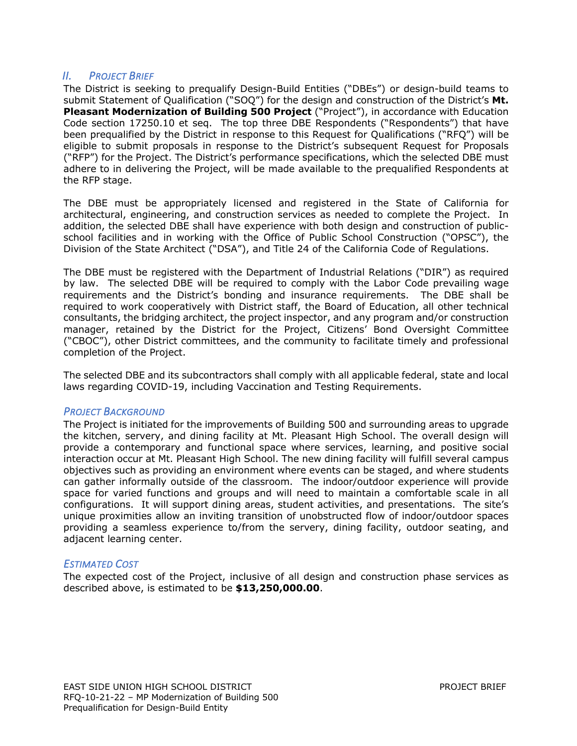## *II. PROJECT BRIEF*

The District is seeking to prequalify Design-Build Entities ("DBEs") or design-build teams to submit Statement of Qualification ("SOQ") for the design and construction of the District's **Mt. Pleasant Modernization of Building 500 Project** ("Project"), in accordance with Education Code section 17250.10 et seq. The top three DBE Respondents ("Respondents") that have been prequalified by the District in response to this Request for Qualifications ("RFQ") will be eligible to submit proposals in response to the District's subsequent Request for Proposals ("RFP") for the Project. The District's performance specifications, which the selected DBE must adhere to in delivering the Project, will be made available to the prequalified Respondents at the RFP stage.

The DBE must be appropriately licensed and registered in the State of California for architectural, engineering, and construction services as needed to complete the Project. In addition, the selected DBE shall have experience with both design and construction of publicschool facilities and in working with the Office of Public School Construction ("OPSC"), the Division of the State Architect ("DSA"), and Title 24 of the California Code of Regulations.

The DBE must be registered with the Department of Industrial Relations ("DIR") as required by law. The selected DBE will be required to comply with the Labor Code prevailing wage requirements and the District's bonding and insurance requirements. The DBE shall be required to work cooperatively with District staff, the Board of Education, all other technical consultants, the bridging architect, the project inspector, and any program and/or construction manager, retained by the District for the Project, Citizens' Bond Oversight Committee ("CBOC"), other District committees, and the community to facilitate timely and professional completion of the Project.

The selected DBE and its subcontractors shall comply with all applicable federal, state and local laws regarding COVID-19, including Vaccination and Testing Requirements.

#### *PROJECT BACKGROUND*

The Project is initiated for the improvements of Building 500 and surrounding areas to upgrade the kitchen, servery, and dining facility at Mt. Pleasant High School. The overall design will provide a contemporary and functional space where services, learning, and positive social interaction occur at Mt. Pleasant High School. The new dining facility will fulfill several campus objectives such as providing an environment where events can be staged, and where students can gather informally outside of the classroom. The indoor/outdoor experience will provide space for varied functions and groups and will need to maintain a comfortable scale in all configurations. It will support dining areas, student activities, and presentations. The site's unique proximities allow an inviting transition of unobstructed flow of indoor/outdoor spaces providing a seamless experience to/from the servery, dining facility, outdoor seating, and adjacent learning center.

#### *ESTIMATED COST*

The expected cost of the Project, inclusive of all design and construction phase services as described above, is estimated to be **\$13,250,000.00**.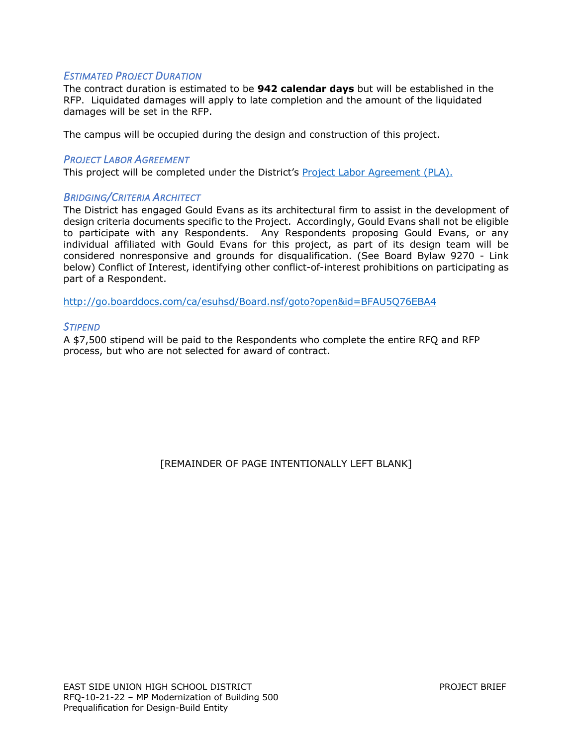#### *ESTIMATED PROJECT DURATION*

The contract duration is estimated to be **942 calendar days** but will be established in the RFP. Liquidated damages will apply to late completion and the amount of the liquidated damages will be set in the RFP.

The campus will be occupied during the design and construction of this project.

#### *PROJECT LABOR AGREEMENT*

This project will be completed under the District's Project Labor Agreement (PLA).

#### *BRIDGING/CRITERIA ARCHITECT*

The District has engaged Gould Evans as its architectural firm to assist in the development of design criteria documents specific to the Project. Accordingly, Gould Evans shall not be eligible to participate with any Respondents. Any Respondents proposing Gould Evans, or any individual affiliated with Gould Evans for this project, as part of its design team will be considered nonresponsive and grounds for disqualification. (See Board Bylaw 9270 - Link below) Conflict of Interest, identifying other conflict-of-interest prohibitions on participating as part of a Respondent.

http://go.boarddocs.com/ca/esuhsd/Board.nsf/goto?open&id=BFAU5Q76EBA4

#### *STIPEND*

A \$7,500 stipend will be paid to the Respondents who complete the entire RFQ and RFP process, but who are not selected for award of contract.

[REMAINDER OF PAGE INTENTIONALLY LEFT BLANK]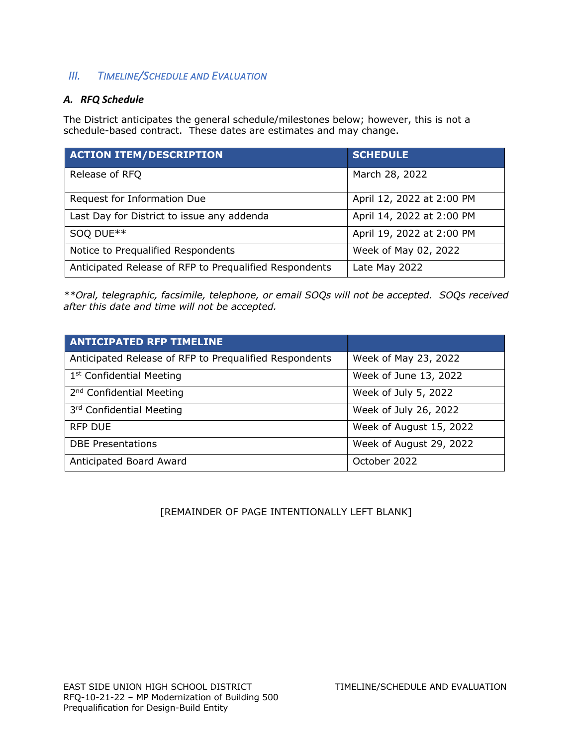## *III. TIMELINE/SCHEDULE AND EVALUATION*

## *A. RFQ Schedule*

The District anticipates the general schedule/milestones below; however, this is not a schedule-based contract. These dates are estimates and may change.

| <b>ACTION ITEM/DESCRIPTION</b>                         | <b>SCHEDULE</b>           |
|--------------------------------------------------------|---------------------------|
| Release of RFQ                                         | March 28, 2022            |
| Request for Information Due                            | April 12, 2022 at 2:00 PM |
| Last Day for District to issue any addenda             | April 14, 2022 at 2:00 PM |
| SOQ DUE**                                              | April 19, 2022 at 2:00 PM |
| Notice to Prequalified Respondents                     | Week of May 02, 2022      |
| Anticipated Release of RFP to Prequalified Respondents | Late May 2022             |

*\*\*Oral, telegraphic, facsimile, telephone, or email SOQs will not be accepted. SOQs received after this date and time will not be accepted.*

| <b>ANTICIPATED RFP TIMELINE</b>                        |                         |
|--------------------------------------------------------|-------------------------|
| Anticipated Release of RFP to Prequalified Respondents | Week of May 23, 2022    |
| 1 <sup>st</sup> Confidential Meeting                   | Week of June 13, 2022   |
| 2 <sup>nd</sup> Confidential Meeting                   | Week of July 5, 2022    |
| 3rd Confidential Meeting                               | Week of July 26, 2022   |
| <b>RFP DUE</b>                                         | Week of August 15, 2022 |
| <b>DBE Presentations</b>                               | Week of August 29, 2022 |
| Anticipated Board Award                                | October 2022            |

[REMAINDER OF PAGE INTENTIONALLY LEFT BLANK]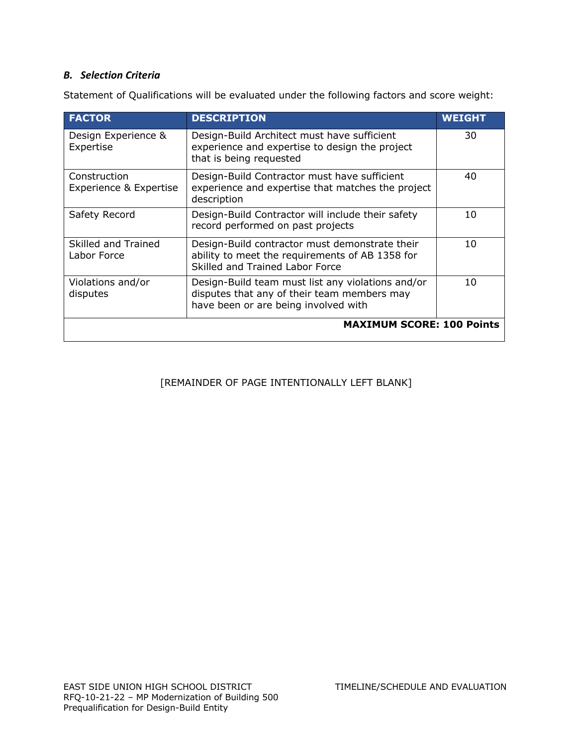## *B. Selection Criteria*

Statement of Qualifications will be evaluated under the following factors and score weight:

| <b>FACTOR</b>                          | <b>DESCRIPTION</b>                                                                                                                       | <b>WEIGHT</b> |
|----------------------------------------|------------------------------------------------------------------------------------------------------------------------------------------|---------------|
| Design Experience &<br>Expertise       | Design-Build Architect must have sufficient<br>experience and expertise to design the project<br>that is being requested                 | 30            |
| Construction<br>Experience & Expertise | Design-Build Contractor must have sufficient<br>experience and expertise that matches the project<br>description                         | 40            |
| Safety Record                          | Design-Build Contractor will include their safety<br>record performed on past projects                                                   | 10            |
| Skilled and Trained<br>Labor Force     | Design-Build contractor must demonstrate their<br>ability to meet the requirements of AB 1358 for<br>Skilled and Trained Labor Force     | 10            |
| Violations and/or<br>disputes          | Design-Build team must list any violations and/or<br>disputes that any of their team members may<br>have been or are being involved with | 10            |
| <b>MAXIMUM SCORE: 100 Points</b>       |                                                                                                                                          |               |

## [REMAINDER OF PAGE INTENTIONALLY LEFT BLANK]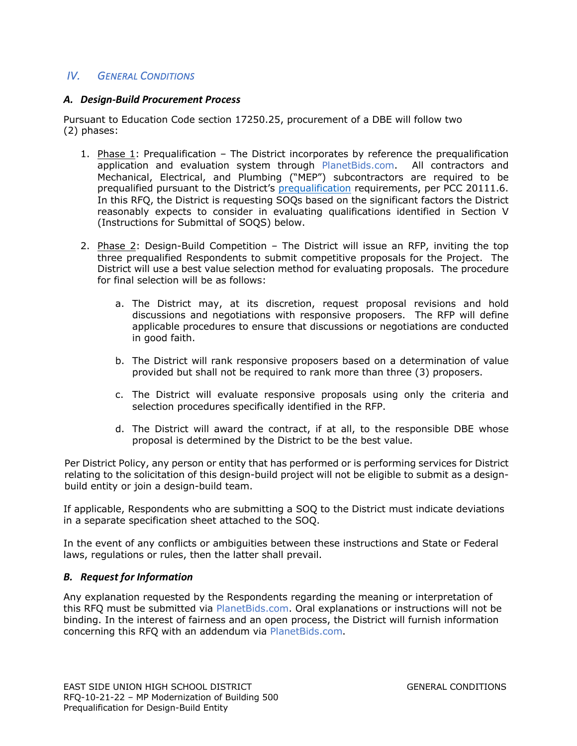## *IV. GENERAL CONDITIONS*

#### *A. Design-Build Procurement Process*

Pursuant to Education Code section 17250.25, procurement of a DBE will follow two (2) phases:

- 1. Phase  $1$ : Prequalification The District incorporates by reference the prequalification application and evaluation system through PlanetBids.com. All contractors and Mechanical, Electrical, and Plumbing ("MEP") subcontractors are required to be prequalified pursuant to the District's prequalification requirements, per PCC 20111.6. In this RFQ, the District is requesting SOQs based on the significant factors the District reasonably expects to consider in evaluating qualifications identified in Section V (Instructions for Submittal of SOQS) below.
- 2. Phase 2: Design-Build Competition The District will issue an RFP, inviting the top three prequalified Respondents to submit competitive proposals for the Project. The District will use a best value selection method for evaluating proposals. The procedure for final selection will be as follows:
	- a. The District may, at its discretion, request proposal revisions and hold discussions and negotiations with responsive proposers. The RFP will define applicable procedures to ensure that discussions or negotiations are conducted in good faith.
	- b. The District will rank responsive proposers based on a determination of value provided but shall not be required to rank more than three (3) proposers.
	- c. The District will evaluate responsive proposals using only the criteria and selection procedures specifically identified in the RFP.
	- d. The District will award the contract, if at all, to the responsible DBE whose proposal is determined by the District to be the best value.

Per District Policy, any person or entity that has performed or is performing services for District relating to the solicitation of this design-build project will not be eligible to submit as a designbuild entity or join a design-build team.

If applicable, Respondents who are submitting a SOQ to the District must indicate deviations in a separate specification sheet attached to the SOQ.

In the event of any conflicts or ambiguities between these instructions and State or Federal laws, regulations or rules, then the latter shall prevail.

#### *B. Request for Information*

Any explanation requested by the Respondents regarding the meaning or interpretation of this RFQ must be submitted via PlanetBids.com. Oral explanations or instructions will not be binding. In the interest of fairness and an open process, the District will furnish information concerning this RFQ with an addendum via PlanetBids.com.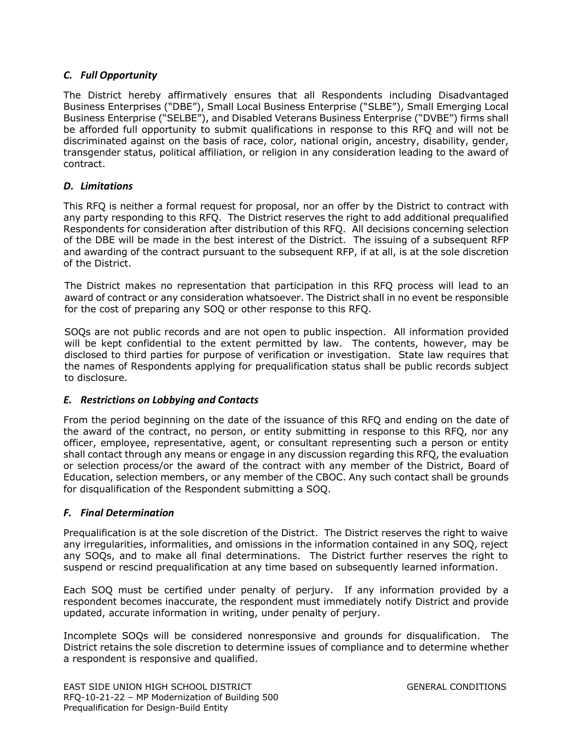## *C. Full Opportunity*

The District hereby affirmatively ensures that all Respondents including Disadvantaged Business Enterprises ("DBE"), Small Local Business Enterprise ("SLBE"), Small Emerging Local Business Enterprise ("SELBE"), and Disabled Veterans Business Enterprise ("DVBE") firms shall be afforded full opportunity to submit qualifications in response to this RFQ and will not be discriminated against on the basis of race, color, national origin, ancestry, disability, gender, transgender status, political affiliation, or religion in any consideration leading to the award of contract.

## *D. Limitations*

This RFQ is neither a formal request for proposal, nor an offer by the District to contract with any party responding to this RFQ. The District reserves the right to add additional prequalified Respondents for consideration after distribution of this RFQ. All decisions concerning selection of the DBE will be made in the best interest of the District. The issuing of a subsequent RFP and awarding of the contract pursuant to the subsequent RFP, if at all, is at the sole discretion of the District.

The District makes no representation that participation in this RFQ process will lead to an award of contract or any consideration whatsoever. The District shall in no event be responsible for the cost of preparing any SOQ or other response to this RFQ.

SOQs are not public records and are not open to public inspection. All information provided will be kept confidential to the extent permitted by law. The contents, however, may be disclosed to third parties for purpose of verification or investigation. State law requires that the names of Respondents applying for prequalification status shall be public records subject to disclosure.

## *E. Restrictions on Lobbying and Contacts*

From the period beginning on the date of the issuance of this RFQ and ending on the date of the award of the contract, no person, or entity submitting in response to this RFQ, nor any officer, employee, representative, agent, or consultant representing such a person or entity shall contact through any means or engage in any discussion regarding this RFQ, the evaluation or selection process/or the award of the contract with any member of the District, Board of Education, selection members, or any member of the CBOC. Any such contact shall be grounds for disqualification of the Respondent submitting a SOQ.

## *F. Final Determination*

Prequalification is at the sole discretion of the District. The District reserves the right to waive any irregularities, informalities, and omissions in the information contained in any SOQ, reject any SOQs, and to make all final determinations. The District further reserves the right to suspend or rescind prequalification at any time based on subsequently learned information.

Each SOQ must be certified under penalty of perjury. If any information provided by a respondent becomes inaccurate, the respondent must immediately notify District and provide updated, accurate information in writing, under penalty of perjury.

Incomplete SOQs will be considered nonresponsive and grounds for disqualification. The District retains the sole discretion to determine issues of compliance and to determine whether a respondent is responsive and qualified.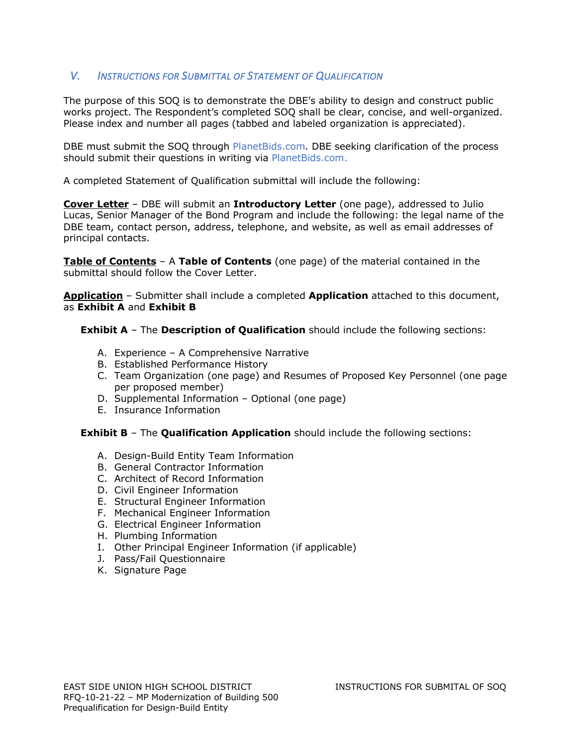## *V. INSTRUCTIONS FOR SUBMITTAL OF STATEMENT OF QUALIFICATION*

The purpose of this SOQ is to demonstrate the DBE's ability to design and construct public works project. The Respondent's completed SOQ shall be clear, concise, and well-organized. Please index and number all pages (tabbed and labeled organization is appreciated).

DBE must submit the SOQ through PlanetBids.com. DBE seeking clarification of the process should submit their questions in writing via PlanetBids.com.

A completed Statement of Qualification submittal will include the following:

**Cover Letter** – DBE will submit an **Introductory Letter** (one page), addressed to Julio Lucas, Senior Manager of the Bond Program and include the following: the legal name of the DBE team, contact person, address, telephone, and website, as well as email addresses of principal contacts.

**Table of Contents** – A **Table of Contents** (one page) of the material contained in the submittal should follow the Cover Letter.

**Application** – Submitter shall include a completed **Application** attached to this document, as **Exhibit A** and **Exhibit B**

**Exhibit A** – The **Description of Qualification** should include the following sections:

- A. Experience A Comprehensive Narrative
- B. Established Performance History
- C. Team Organization (one page) and Resumes of Proposed Key Personnel (one page per proposed member)
- D. Supplemental Information Optional (one page)
- E. Insurance Information

**Exhibit B** – The **Qualification Application** should include the following sections:

- A. Design-Build Entity Team Information
- B. General Contractor Information
- C. Architect of Record Information
- D. Civil Engineer Information
- E. Structural Engineer Information
- F. Mechanical Engineer Information
- G. Electrical Engineer Information
- H. Plumbing Information
- I. Other Principal Engineer Information (if applicable)
- J. Pass/Fail Questionnaire
- K. Signature Page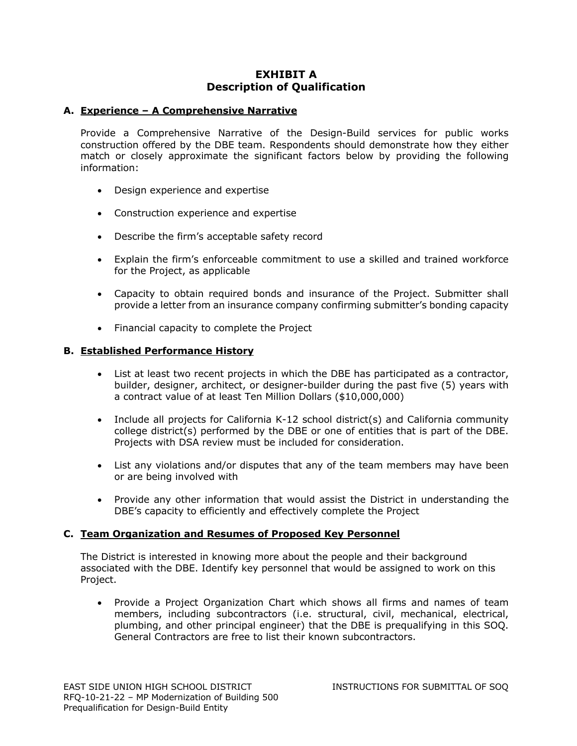## **EXHIBIT A Description of Qualification**

#### **A. Experience – A Comprehensive Narrative**

Provide a Comprehensive Narrative of the Design-Build services for public works construction offered by the DBE team. Respondents should demonstrate how they either match or closely approximate the significant factors below by providing the following information:

- Design experience and expertise
- Construction experience and expertise
- Describe the firm's acceptable safety record
- Explain the firm's enforceable commitment to use a skilled and trained workforce for the Project, as applicable
- Capacity to obtain required bonds and insurance of the Project. Submitter shall provide a letter from an insurance company confirming submitter's bonding capacity
- Financial capacity to complete the Project

#### **B. Established Performance History**

- List at least two recent projects in which the DBE has participated as a contractor, builder, designer, architect, or designer-builder during the past five (5) years with a contract value of at least Ten Million Dollars (\$10,000,000)
- Include all projects for California K-12 school district(s) and California community college district(s) performed by the DBE or one of entities that is part of the DBE. Projects with DSA review must be included for consideration.
- List any violations and/or disputes that any of the team members may have been or are being involved with
- Provide any other information that would assist the District in understanding the DBE's capacity to efficiently and effectively complete the Project

## **C. Team Organization and Resumes of Proposed Key Personnel**

The District is interested in knowing more about the people and their background associated with the DBE. Identify key personnel that would be assigned to work on this Project.

• Provide a Project Organization Chart which shows all firms and names of team members, including subcontractors (i.e. structural, civil, mechanical, electrical, plumbing, and other principal engineer) that the DBE is prequalifying in this SOQ. General Contractors are free to list their known subcontractors.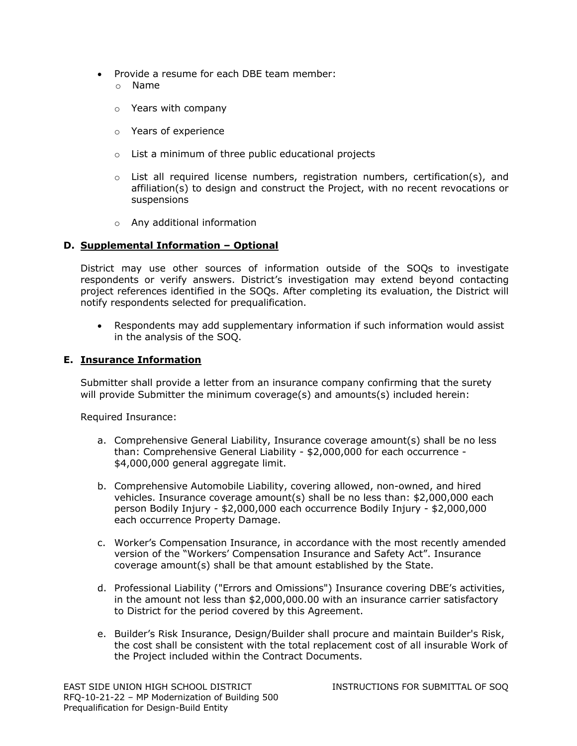- Provide a resume for each DBE team member:
	- o Name
	- o Years with company
	- o Years of experience
	- o List a minimum of three public educational projects
	- $\circ$  List all required license numbers, registration numbers, certification(s), and affiliation(s) to design and construct the Project, with no recent revocations or suspensions
	- o Any additional information

## **D. Supplemental Information – Optional**

District may use other sources of information outside of the SOQs to investigate respondents or verify answers. District's investigation may extend beyond contacting project references identified in the SOQs. After completing its evaluation, the District will notify respondents selected for prequalification.

• Respondents may add supplementary information if such information would assist in the analysis of the SOQ.

#### **E. Insurance Information**

Submitter shall provide a letter from an insurance company confirming that the surety will provide Submitter the minimum coverage(s) and amounts(s) included herein:

Required Insurance:

- a. Comprehensive General Liability, Insurance coverage amount(s) shall be no less than: Comprehensive General Liability - \$2,000,000 for each occurrence - \$4,000,000 general aggregate limit.
- b. Comprehensive Automobile Liability, covering allowed, non-owned, and hired vehicles. Insurance coverage amount(s) shall be no less than: \$2,000,000 each person Bodily Injury - \$2,000,000 each occurrence Bodily Injury - \$2,000,000 each occurrence Property Damage.
- c. Worker's Compensation Insurance, in accordance with the most recently amended version of the "Workers' Compensation Insurance and Safety Act". Insurance coverage amount(s) shall be that amount established by the State.
- d. Professional Liability ("Errors and Omissions") Insurance covering DBE's activities, in the amount not less than \$2,000,000.00 with an insurance carrier satisfactory to District for the period covered by this Agreement.
- e. Builder's Risk Insurance, Design/Builder shall procure and maintain Builder's Risk, the cost shall be consistent with the total replacement cost of all insurable Work of the Project included within the Contract Documents.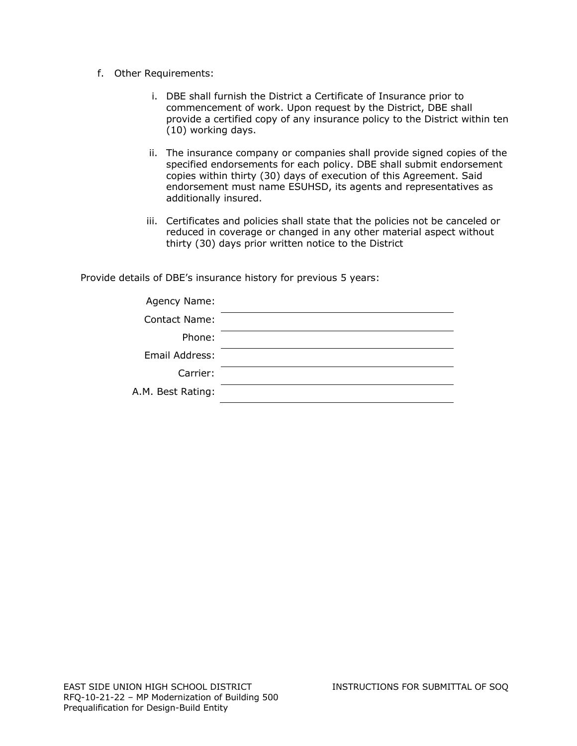- f. Other Requirements:
	- i. DBE shall furnish the District a Certificate of Insurance prior to commencement of work. Upon request by the District, DBE shall provide a certified copy of any insurance policy to the District within ten (10) working days.
	- ii. The insurance company or companies shall provide signed copies of the specified endorsements for each policy. DBE shall submit endorsement copies within thirty (30) days of execution of this Agreement. Said endorsement must name ESUHSD, its agents and representatives as additionally insured.
	- iii. Certificates and policies shall state that the policies not be canceled or reduced in coverage or changed in any other material aspect without thirty (30) days prior written notice to the District

Provide details of DBE's insurance history for previous 5 years:

| Agency Name:      |  |
|-------------------|--|
| Contact Name:     |  |
| Phone:            |  |
| Email Address:    |  |
| Carrier:          |  |
| A.M. Best Rating: |  |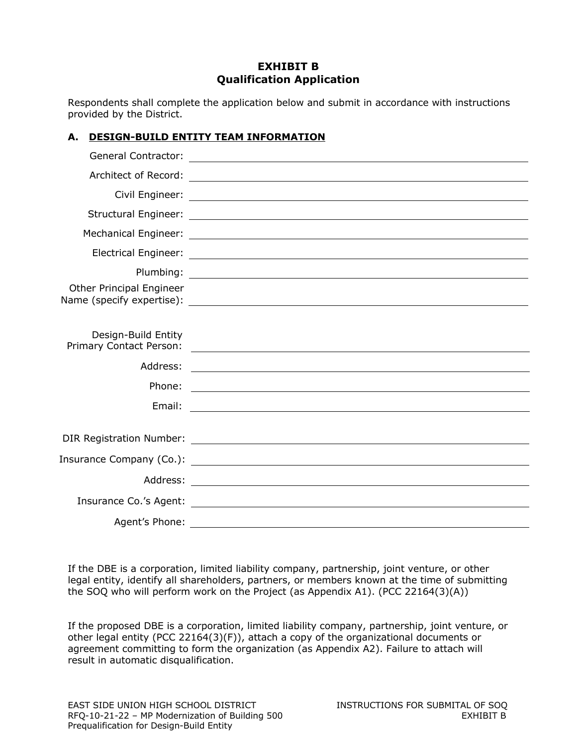## **EXHIBIT B Qualification Application**

Respondents shall complete the application below and submit in accordance with instructions provided by the District.

## **A. DESIGN-BUILD ENTITY TEAM INFORMATION**

| Other Principal Engineer                       |                                                                                                                       |
|------------------------------------------------|-----------------------------------------------------------------------------------------------------------------------|
|                                                |                                                                                                                       |
| Design-Build Entity<br>Primary Contact Person: | <u> 1989 - Johann Barnett, fransk politik (d. 1989)</u>                                                               |
| Address:                                       | <u> 1989 - Johann Stoff, deutscher Stoff, der Stoff, der Stoff, der Stoff, der Stoff, der Stoff, der Stoff, der S</u> |
| Phone:                                         | <u> 2000 - Andrea Andrew Maria (h. 1878).</u>                                                                         |
| Email:                                         | <u> 1980 - Jan Samuel Barbara, margaret eta idazlearia (h. 1980).</u>                                                 |
|                                                |                                                                                                                       |
|                                                |                                                                                                                       |
|                                                |                                                                                                                       |
|                                                |                                                                                                                       |
|                                                | Insurance Co.'s Agent: <u>Insurance</u> Co.'s Agent: 1999                                                             |
| Agent's Phone:                                 |                                                                                                                       |

If the DBE is a corporation, limited liability company, partnership, joint venture, or other legal entity, identify all shareholders, partners, or members known at the time of submitting the SOQ who will perform work on the Project (as Appendix A1). (PCC 22164(3)(A))

If the proposed DBE is a corporation, limited liability company, partnership, joint venture, or other legal entity (PCC 22164(3)(F)), attach a copy of the organizational documents or agreement committing to form the organization (as Appendix A2). Failure to attach will result in automatic disqualification.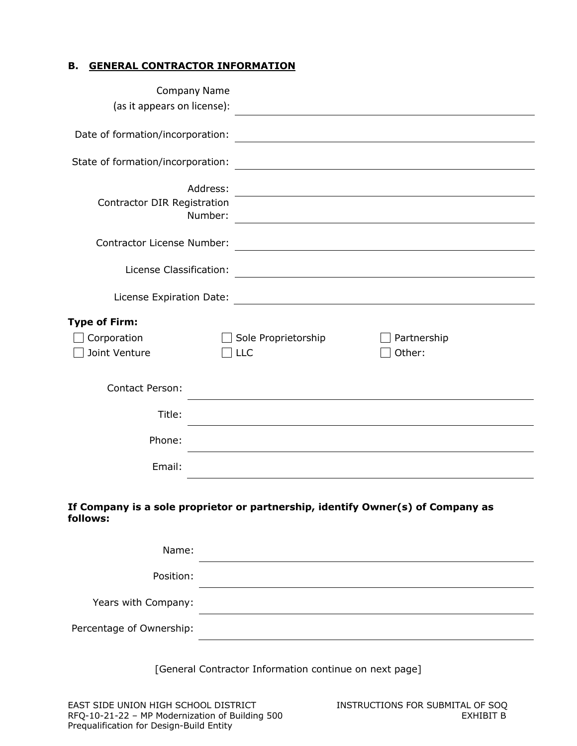## **B. GENERAL CONTRACTOR INFORMATION**

| <b>Company Name</b>                                       |                                                                                                                        |
|-----------------------------------------------------------|------------------------------------------------------------------------------------------------------------------------|
| (as it appears on license):                               | <u> 1989 - Johann Stoff, fransk politik (d. 1989)</u>                                                                  |
| Date of formation/incorporation:                          | <u> 1989 - Johann Barn, mars ann an t-Amhain an t-Amhain an t-Amhain an t-Amhain an t-Amhain an t-Amhain an t-Amh</u>  |
| State of formation/incorporation:                         |                                                                                                                        |
| Address:<br><b>Contractor DIR Registration</b><br>Number: | <u> 1989 - Johann Stoff, deutscher Stoffen und der Stoffen und der Stoffen und der Stoffen und der Stoffen und der</u> |
| Contractor License Number:                                | <u> 1980 - Johann Stoff, deutscher Stoffen und der Stoffen und der Stoffen und der Stoffen und der Stoffen und de</u>  |
| License Classification:                                   |                                                                                                                        |
| License Expiration Date:                                  | <u> 1980 - Johann Stoff, deutscher Stoffen und der Stoffen und der Stoffen und der Stoffen und der Stoffen und de</u>  |
| <b>Type of Firm:</b><br>Corporation<br>Joint Venture      | Partnership<br>Sole Proprietorship<br>Other:<br>LLC                                                                    |
| <b>Contact Person:</b>                                    |                                                                                                                        |
| Title:                                                    | and the control of the control of the control of the control of the control of the control of the control of the       |
| Phone:                                                    |                                                                                                                        |
| Email:                                                    |                                                                                                                        |
| follows:                                                  | If Company is a sole proprietor or partnership, identify Owner(s) of Company as                                        |
| Name:                                                     |                                                                                                                        |
| Position:                                                 |                                                                                                                        |
| Years with Company:                                       |                                                                                                                        |
| Percentage of Ownership:                                  |                                                                                                                        |
|                                                           | [General Contractor Information continue on next page]                                                                 |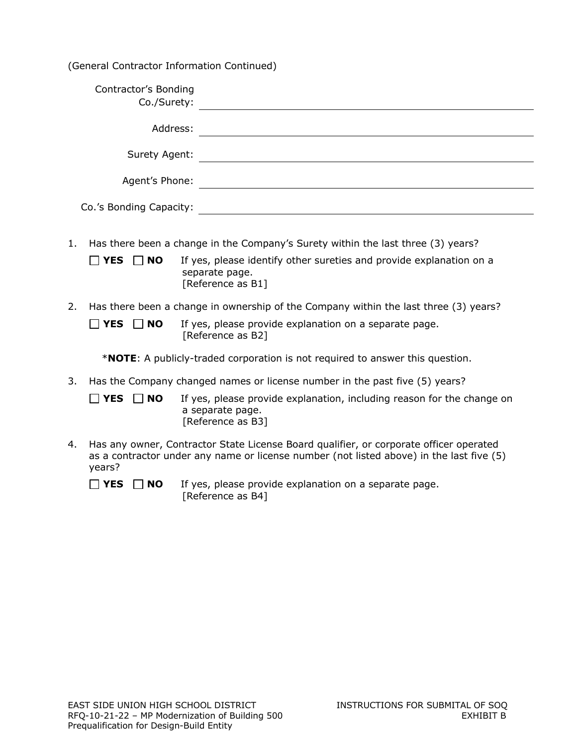(General Contractor Information Continued)

| Contractor's Bonding<br>Co./Surety: |  |
|-------------------------------------|--|
| Address:                            |  |
| Surety Agent:                       |  |
| Agent's Phone:                      |  |
| Co.'s Bonding Capacity:             |  |

1. Has there been a change in the Company's Surety within the last three (3) years?

| $\Box$ YES $\Box$ NO | If yes, please identify other sureties and provide explanation on a |
|----------------------|---------------------------------------------------------------------|
|                      | separate page.                                                      |
|                      | [Reference as B1]                                                   |

2. Has there been a change in ownership of the Company within the last three (3) years?

 $\Box$  **YES**  $\Box$  **NO** If yes, please provide explanation on a separate page. [Reference as B2]

\***NOTE**: A publicly-traded corporation is not required to answer this question.

3. Has the Company changed names or license number in the past five (5) years?

**YES NO** If yes, please provide explanation, including reason for the change on a separate page. [Reference as B3]

4. Has any owner, Contractor State License Board qualifier, or corporate officer operated as a contractor under any name or license number (not listed above) in the last five (5) years?

 $\Box$  **YES**  $\Box$  **NO** If yes, please provide explanation on a separate page. [Reference as B4]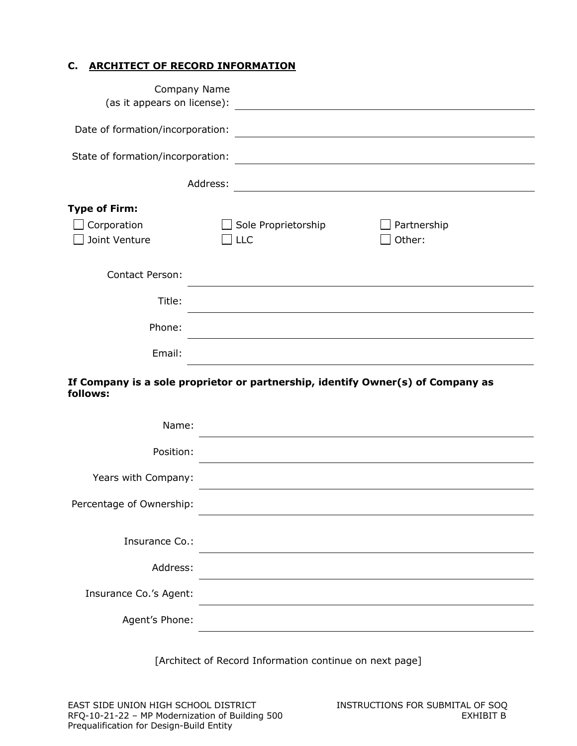## **C. ARCHITECT OF RECORD INFORMATION**

| Company Name<br>(as it appears on license): | <u> 1989 - Andrea Station Barbara, amerikan per</u>                                                                               |
|---------------------------------------------|-----------------------------------------------------------------------------------------------------------------------------------|
| Date of formation/incorporation:            |                                                                                                                                   |
| State of formation/incorporation:           | <u> 1980 - Johann Stoff, deutscher Stoff, der Stoff, der Stoff, der Stoff, der Stoff, der Stoff, der Stoff, der S</u>             |
|                                             | Address:<br><u> 1980 - Johann Stoff, deutscher Stoffen und der Stoffen und der Stoffen und der Stoffen und der Stoffen und de</u> |
| <b>Type of Firm:</b>                        |                                                                                                                                   |
| Corporation                                 | Sole Proprietorship<br>Partnership                                                                                                |
| Joint Venture                               | Other:<br><b>LLC</b>                                                                                                              |
| Contact Person:                             |                                                                                                                                   |
| Title:                                      |                                                                                                                                   |
| Phone:                                      |                                                                                                                                   |
| Email:                                      | and the control of the control of the control of the control of the control of the control of the control of the                  |
| follows:                                    | If Company is a sole proprietor or partnership, identify Owner(s) of Company as                                                   |
| Name:                                       |                                                                                                                                   |
| Position:                                   |                                                                                                                                   |
| Years with Company:                         |                                                                                                                                   |
| Percentage of Ownership:                    |                                                                                                                                   |
| Insurance Co.:                              |                                                                                                                                   |
| Address:                                    |                                                                                                                                   |
| Insurance Co.'s Agent:                      |                                                                                                                                   |
| Agent's Phone:                              |                                                                                                                                   |

[Architect of Record Information continue on next page]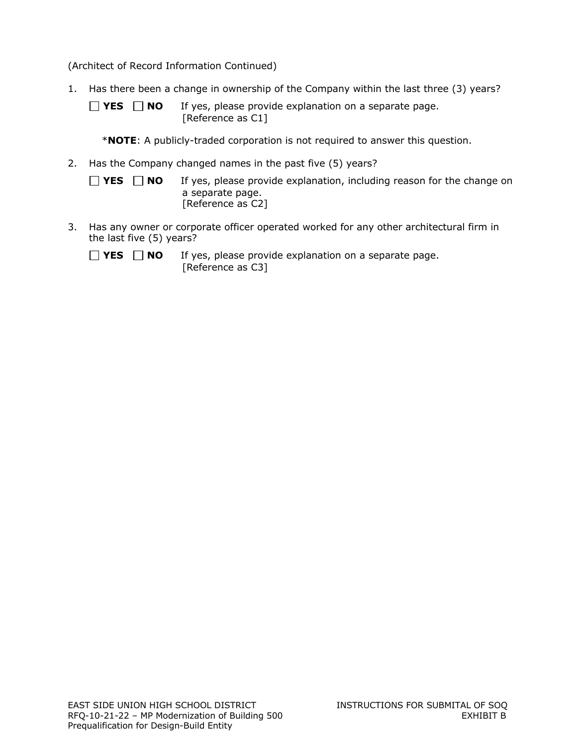(Architect of Record Information Continued)

- 1. Has there been a change in ownership of the Company within the last three (3) years?
	- $\Box$  **YES**  $\Box$  **NO** If yes, please provide explanation on a separate page. [Reference as C1]
		- \***NOTE**: A publicly-traded corporation is not required to answer this question.
- 2. Has the Company changed names in the past five (5) years?
	- $\Box$  **YES**  $\Box$  **NO** If yes, please provide explanation, including reason for the change on a separate page. [Reference as C2]
- 3. Has any owner or corporate officer operated worked for any other architectural firm in the last five (5) years?
	- $\Box$  **YES**  $\Box$  **NO** If yes, please provide explanation on a separate page. [Reference as C3]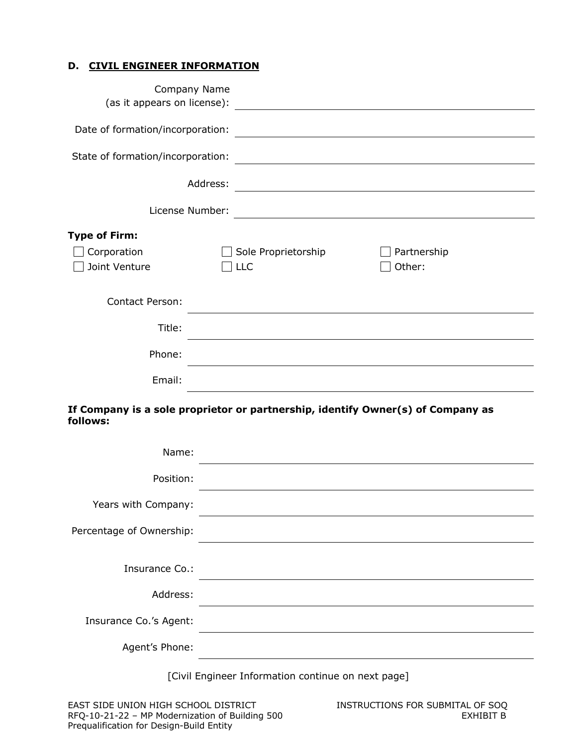### **D. CIVIL ENGINEER INFORMATION**

| (as it appears on license):       | Company Name<br><u> 1989 - Johann Barnett, fransk politiker (d. 1989)</u>       |                                                                                                                       |
|-----------------------------------|---------------------------------------------------------------------------------|-----------------------------------------------------------------------------------------------------------------------|
| Date of formation/incorporation:  |                                                                                 |                                                                                                                       |
| State of formation/incorporation: |                                                                                 |                                                                                                                       |
|                                   | Address:                                                                        |                                                                                                                       |
| License Number:                   |                                                                                 | <u> 1989 - Johann Harry Harry Harry Harry Harry Harry Harry Harry Harry Harry Harry Harry Harry Harry Harry Harry</u> |
| <b>Type of Firm:</b>              |                                                                                 |                                                                                                                       |
| Corporation                       | Sole Proprietorship                                                             | Partnership                                                                                                           |
| Joint Venture                     | <b>LLC</b>                                                                      | Other:                                                                                                                |
| <b>Contact Person:</b>            |                                                                                 |                                                                                                                       |
| Title:                            |                                                                                 |                                                                                                                       |
| Phone:                            |                                                                                 |                                                                                                                       |
| Email:                            |                                                                                 |                                                                                                                       |
| follows:                          | If Company is a sole proprietor or partnership, identify Owner(s) of Company as |                                                                                                                       |

| Name:                    |  |
|--------------------------|--|
| Position:                |  |
| Years with Company:      |  |
| Percentage of Ownership: |  |
|                          |  |
| Insurance Co.:           |  |
| Address:                 |  |
| Insurance Co.'s Agent:   |  |
| Agent's Phone:           |  |

[Civil Engineer Information continue on next page]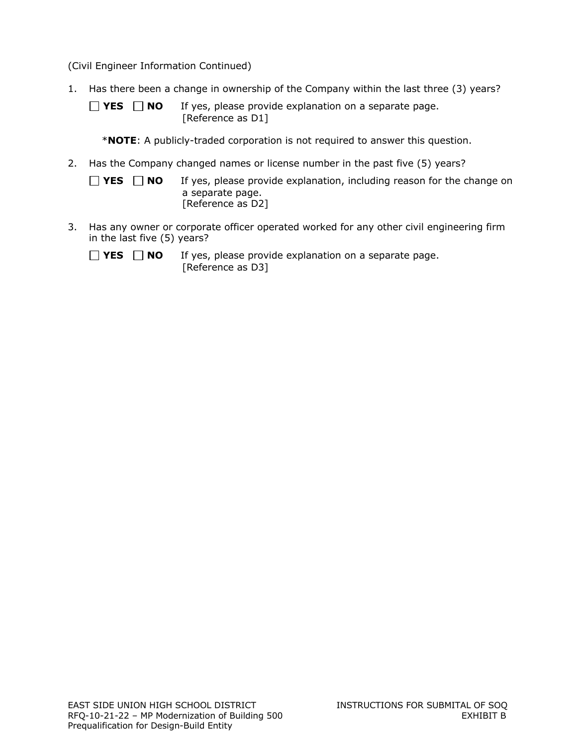(Civil Engineer Information Continued)

- 1. Has there been a change in ownership of the Company within the last three (3) years?
	- **YES NO** If yes, please provide explanation on a separate page. [Reference as D1]
		- \***NOTE**: A publicly-traded corporation is not required to answer this question.
- 2. Has the Company changed names or license number in the past five (5) years?
	- $\Box$  **YES**  $\Box$  **NO** If yes, please provide explanation, including reason for the change on a separate page. [Reference as D2]
- 3. Has any owner or corporate officer operated worked for any other civil engineering firm in the last five (5) years?
	- $\Box$  **YES**  $\Box$  **NO** If yes, please provide explanation on a separate page. [Reference as D3]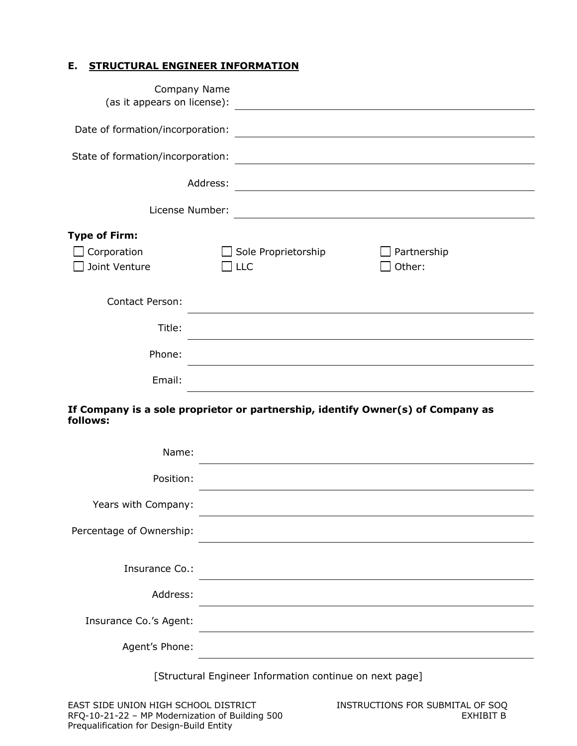## **E. STRUCTURAL ENGINEER INFORMATION**

| Company Name<br>(as it appears on license):          | <u> 1989 - John Stein, Amerikaansk politiker (</u>                              |
|------------------------------------------------------|---------------------------------------------------------------------------------|
| Date of formation/incorporation:                     |                                                                                 |
| State of formation/incorporation:                    |                                                                                 |
| Address:                                             |                                                                                 |
| License Number:                                      |                                                                                 |
| <b>Type of Firm:</b><br>Corporation<br>Joint Venture | Sole Proprietorship<br>Partnership<br>Other:<br><b>LLC</b>                      |
| <b>Contact Person:</b>                               |                                                                                 |
| Title:                                               |                                                                                 |
| Phone:                                               |                                                                                 |
| Email:                                               |                                                                                 |
| follows:                                             | If Company is a sole proprietor or partnership, identify Owner(s) of Company as |
| Name:                                                |                                                                                 |
| Position:                                            |                                                                                 |

| Years with Company: |  |
|---------------------|--|
|                     |  |

Percentage of Ownership: Insurance Co.: Address: Insurance Co.'s Agent: Agent's Phone:

[Structural Engineer Information continue on next page]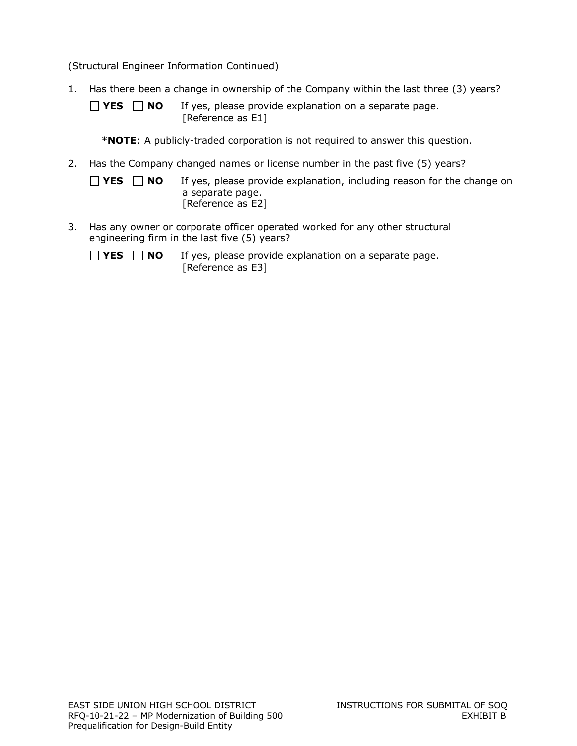(Structural Engineer Information Continued)

- 1. Has there been a change in ownership of the Company within the last three (3) years?
	- **YES NO** If yes, please provide explanation on a separate page. [Reference as E1]
		- \***NOTE**: A publicly-traded corporation is not required to answer this question.
- 2. Has the Company changed names or license number in the past five (5) years?
	- $\Box$  **YES**  $\Box$  **NO** If yes, please provide explanation, including reason for the change on a separate page. [Reference as E2]
- 3. Has any owner or corporate officer operated worked for any other structural engineering firm in the last five (5) years?
	- $\Box$  **YES**  $\Box$  **NO** If yes, please provide explanation on a separate page. [Reference as E3]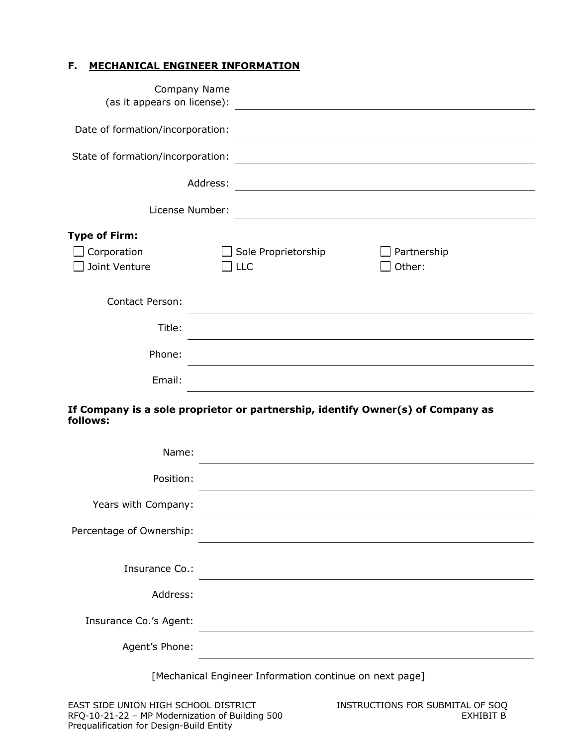## **F. MECHANICAL ENGINEER INFORMATION**

| Company Name<br>(as it appears on license):          | <u> 1989 - John Stein, Amerikaansk politiker (</u>                                                                     |  |
|------------------------------------------------------|------------------------------------------------------------------------------------------------------------------------|--|
| Date of formation/incorporation:                     | <u> 1989 - Johann Stoff, deutscher Stoffen und der Stoffen und der Stoffen und der Stoffen und der Stoffen und de</u>  |  |
| State of formation/incorporation:                    | <u> 1989 - Johann Stoff, deutscher Stoffen und der Stoffen und der Stoffen und der Stoffen und der Stoffen und der</u> |  |
| Address:                                             | <u> 1980 - Johann Barbara, martxa alemaniar amerikan a</u>                                                             |  |
| License Number:                                      |                                                                                                                        |  |
| <b>Type of Firm:</b><br>Corporation<br>Joint Venture | Sole Proprietorship<br>Partnership<br>Other:<br>$\perp$ LLC                                                            |  |
| <b>Contact Person:</b>                               |                                                                                                                        |  |
| Title:                                               |                                                                                                                        |  |
| Phone:                                               |                                                                                                                        |  |
| Email:                                               |                                                                                                                        |  |
| follows:                                             | If Company is a sole proprietor or partnership, identify Owner(s) of Company as                                        |  |
| Name:                                                |                                                                                                                        |  |

| Position:                |  |
|--------------------------|--|
| Years with Company:      |  |
| Percentage of Ownership: |  |
|                          |  |
| Insurance Co.:           |  |
| Address:                 |  |
| Insurance Co.'s Agent:   |  |
| Agent's Phone:           |  |

[Mechanical Engineer Information continue on next page]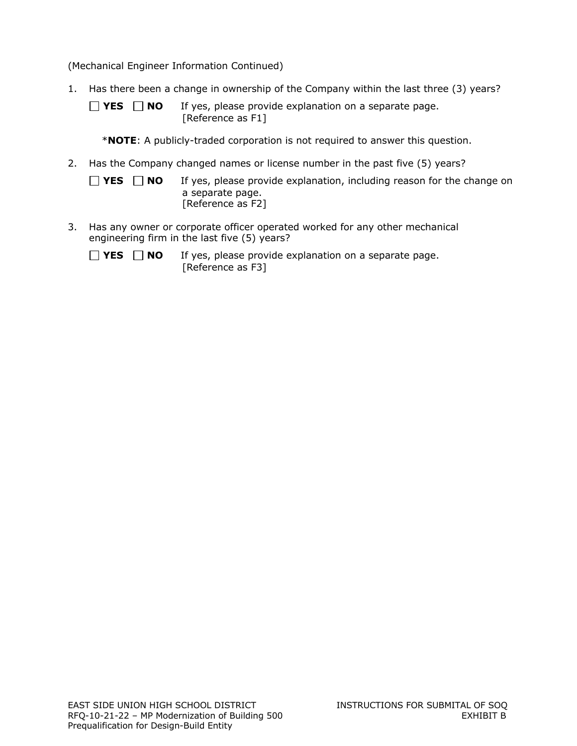(Mechanical Engineer Information Continued)

- 1. Has there been a change in ownership of the Company within the last three (3) years?
	- **YES NO** If yes, please provide explanation on a separate page. [Reference as F1]
		- \***NOTE**: A publicly-traded corporation is not required to answer this question.
- 2. Has the Company changed names or license number in the past five (5) years?
	- $\Box$  **YES**  $\Box$  **NO** If yes, please provide explanation, including reason for the change on a separate page. [Reference as F2]
- 3. Has any owner or corporate officer operated worked for any other mechanical engineering firm in the last five (5) years?
	- $\Box$  **YES**  $\Box$  **NO** If yes, please provide explanation on a separate page. [Reference as F3]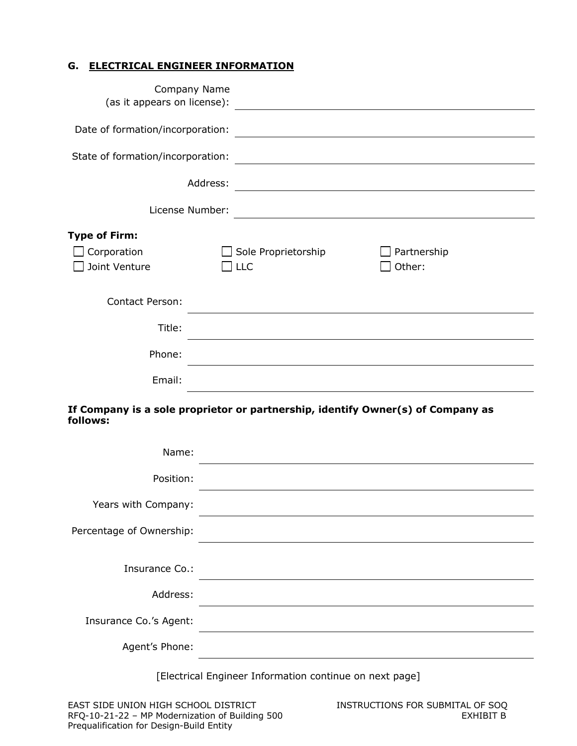## **G. ELECTRICAL ENGINEER INFORMATION**

| (as it appears on license):                          | Company Name                                                                                                     |                                                                                                                  |
|------------------------------------------------------|------------------------------------------------------------------------------------------------------------------|------------------------------------------------------------------------------------------------------------------|
|                                                      |                                                                                                                  |                                                                                                                  |
| State of formation/incorporation:                    |                                                                                                                  |                                                                                                                  |
|                                                      | Address:                                                                                                         |                                                                                                                  |
|                                                      | License Number:                                                                                                  | <u> 1989 - Johann Stein, mars an deus Amerikaansk kommunister (</u>                                              |
| <b>Type of Firm:</b><br>Corporation<br>Joint Venture | Sole Proprietorship<br><b>LLC</b>                                                                                | Partnership<br>$\Box$ Other:                                                                                     |
| <b>Contact Person:</b>                               |                                                                                                                  |                                                                                                                  |
| Title:                                               |                                                                                                                  |                                                                                                                  |
| Phone:                                               | and the control of the control of the control of the control of the control of the control of the control of the |                                                                                                                  |
| Email:                                               |                                                                                                                  | and the control of the control of the control of the control of the control of the control of the control of the |
| follows:                                             | If Company is a sole proprietor or partnership, identify Owner(s) of Company as                                  |                                                                                                                  |
| Name:                                                |                                                                                                                  |                                                                                                                  |

| $I$ va $II$              |  |
|--------------------------|--|
| Position:                |  |
| Years with Company:      |  |
| Percentage of Ownership: |  |
|                          |  |
| Insurance Co.:           |  |
| Address:                 |  |
| Insurance Co.'s Agent:   |  |
| Agent's Phone:           |  |
|                          |  |

[Electrical Engineer Information continue on next page]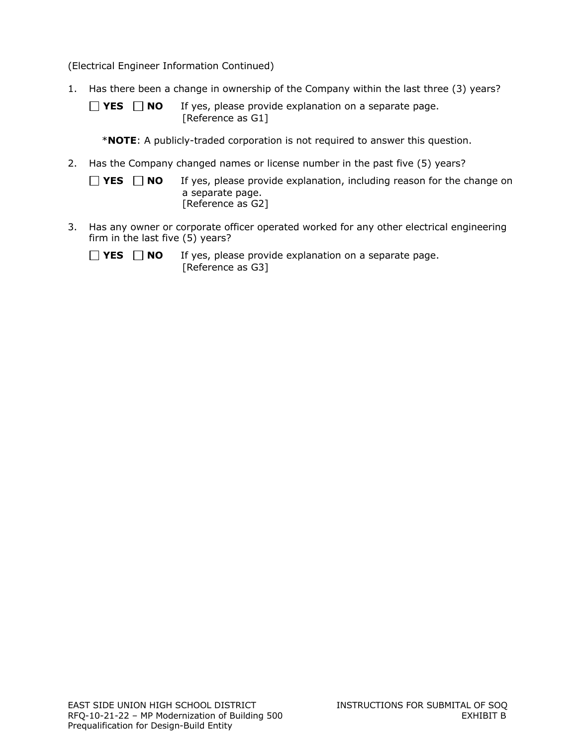(Electrical Engineer Information Continued)

- 1. Has there been a change in ownership of the Company within the last three (3) years?
	- **YES NO** If yes, please provide explanation on a separate page. [Reference as G1]
		- \***NOTE**: A publicly-traded corporation is not required to answer this question.
- 2. Has the Company changed names or license number in the past five (5) years?
	- $\Box$  **YES**  $\Box$  **NO** If yes, please provide explanation, including reason for the change on a separate page. [Reference as G2]
- 3. Has any owner or corporate officer operated worked for any other electrical engineering firm in the last five (5) years?
	- $\Box$  **YES**  $\Box$  **NO** If yes, please provide explanation on a separate page. [Reference as G3]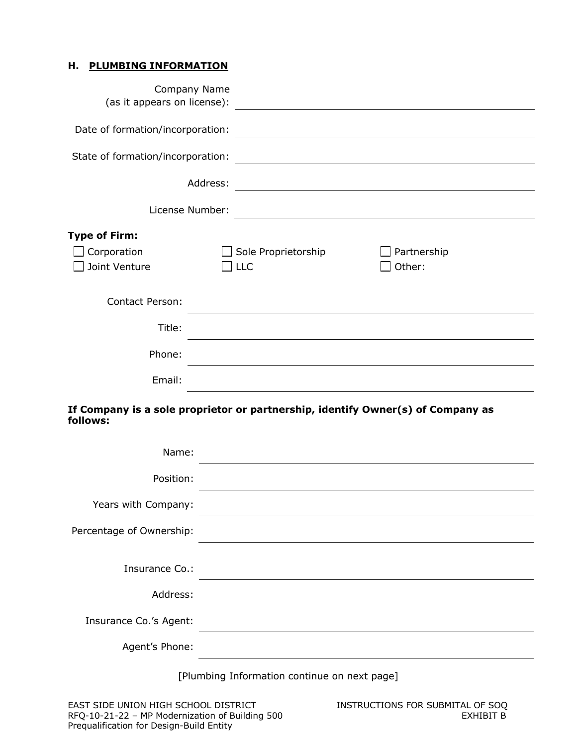#### **H. PLUMBING INFORMATION**

| (as it appears on license):       | Company Name                                                                                                          | <u> 1989 - Andrea State Barbara, amerikan personal di sebagai personal di sebagai personal di sebagai personal d</u>  |
|-----------------------------------|-----------------------------------------------------------------------------------------------------------------------|-----------------------------------------------------------------------------------------------------------------------|
| Date of formation/incorporation:  |                                                                                                                       | <u> 1989 - Johann John Stein, markin fyrstu og fyrstu og fyrstu og fyrstu og fyrstu og fyrstu og fyrstu og fyrst</u>  |
| State of formation/incorporation: |                                                                                                                       |                                                                                                                       |
|                                   | Address:                                                                                                              | <u> 1989 - Johann Stoff, deutscher Stoffen und der Stoffen und der Stoffen und der Stoffen und der Stoffen und de</u> |
|                                   | License Number:                                                                                                       | <u> 1980 - John Stein, Amerikaansk politiker (* 1918)</u>                                                             |
| <b>Type of Firm:</b>              |                                                                                                                       |                                                                                                                       |
| Corporation<br>Joint Venture      | Sole Proprietorship<br>$\sqcap$ LLC                                                                                   | Partnership<br>Other:                                                                                                 |
| <b>Contact Person:</b>            |                                                                                                                       |                                                                                                                       |
| Title:                            |                                                                                                                       |                                                                                                                       |
| Phone:                            | <u> 1989 - Johann Stoff, amerikansk politiker (* 1908)</u>                                                            |                                                                                                                       |
| Email:                            | <u> 1980 - Johann Barbara, martin amerikan basar dan berasal dalam basa dalam basar dalam basar dalam basar dalam</u> |                                                                                                                       |
| follows:                          | If Company is a sole proprietor or partnership, identify Owner(s) of Company as                                       |                                                                                                                       |
| Name:                             |                                                                                                                       |                                                                                                                       |

[Plumbing Information continue on next page]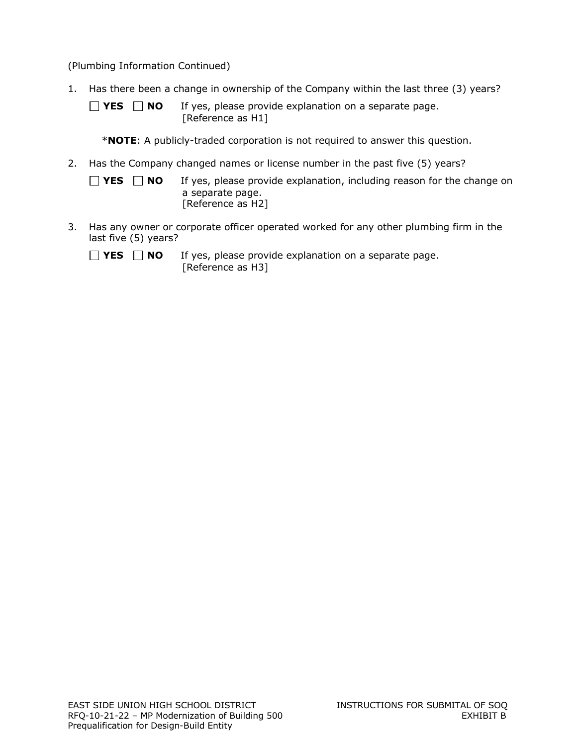(Plumbing Information Continued)

- 1. Has there been a change in ownership of the Company within the last three (3) years?
	- **YES NO** If yes, please provide explanation on a separate page. [Reference as H1]
		- \***NOTE**: A publicly-traded corporation is not required to answer this question.
- 2. Has the Company changed names or license number in the past five (5) years?
	- $\Box$  **YES**  $\Box$  **NO** If yes, please provide explanation, including reason for the change on a separate page. [Reference as H2]
- 3. Has any owner or corporate officer operated worked for any other plumbing firm in the last five (5) years?
	- $\Box$  **YES**  $\Box$  **NO** If yes, please provide explanation on a separate page. [Reference as H3]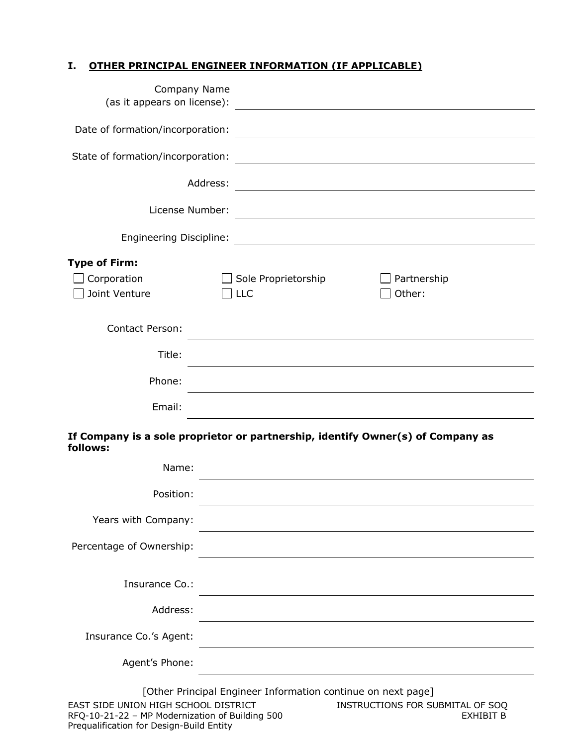## **I. OTHER PRINCIPAL ENGINEER INFORMATION (IF APPLICABLE)**

| Company Name<br>(as it appears on license): |                                                                                                                      |
|---------------------------------------------|----------------------------------------------------------------------------------------------------------------------|
| Date of formation/incorporation:            | <u> 1989 - Johann Barn, mars ann an t-Amhain Aonaich an t-Aonaich an t-Aonaich ann an t-Aonaich ann an t-Aonaich</u> |
| State of formation/incorporation:           | <u> 1980 - Johann Barn, fransk politik (d. 1980)</u>                                                                 |
| Address:                                    | <u> 1980 - Johann Barnett, fransk politik (f. 1980)</u>                                                              |
| License Number:                             |                                                                                                                      |
|                                             | Engineering Discipline: 2008 2009 2010 2020 2031 2032 2040 2051 2052 2053 2054 2055 2056 2057 2058 2059 2059 20      |
| <b>Type of Firm:</b>                        |                                                                                                                      |
| Corporation<br>Joint Venture                | Sole Proprietorship<br>Partnership<br>Other:<br>$ $ LLC                                                              |
| <b>Contact Person:</b>                      |                                                                                                                      |
| Title:                                      |                                                                                                                      |
| Phone:                                      |                                                                                                                      |
| Email:                                      |                                                                                                                      |
| follows:                                    | If Company is a sole proprietor or partnership, identify Owner(s) of Company as                                      |
| Name:                                       |                                                                                                                      |
| Position:                                   |                                                                                                                      |
| Years with Company:                         |                                                                                                                      |
| Percentage of Ownership:                    |                                                                                                                      |
| Insurance Co.:                              |                                                                                                                      |
| Address:                                    |                                                                                                                      |
| Insurance Co.'s Agent:                      |                                                                                                                      |
| Agent's Phone:                              |                                                                                                                      |
| EAST SIDE UNION HIGH SCHOOL DISTRICT        | [Other Principal Engineer Information continue on next page]<br>INSTRUCTIONS FOR SUBMITAL OF SOQ                     |

Prequalification for Design-Build Entity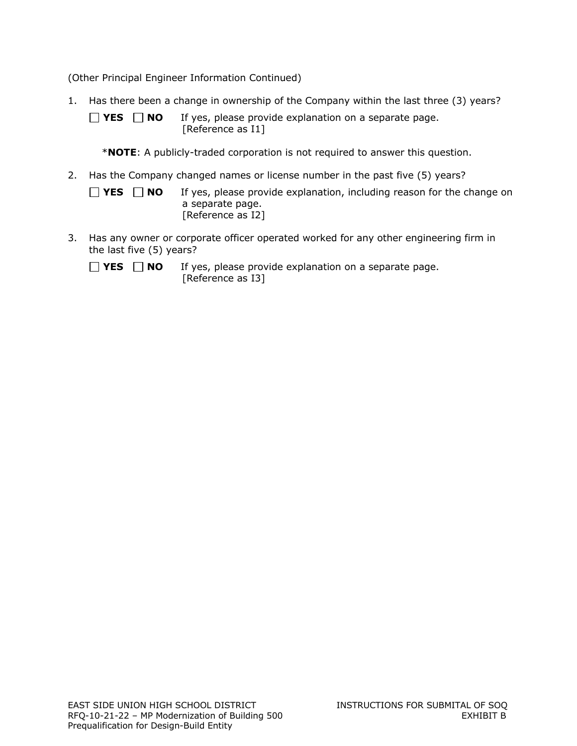(Other Principal Engineer Information Continued)

1. Has there been a change in ownership of the Company within the last three (3) years?

 $\Box$  **YES**  $\Box$  **NO** If yes, please provide explanation on a separate page. [Reference as I1]

\***NOTE**: A publicly-traded corporation is not required to answer this question.

2. Has the Company changed names or license number in the past five (5) years?

| $\Box$ YES $\Box$ NO | If yes, please provide explanation, including reason for the change on |
|----------------------|------------------------------------------------------------------------|
|                      | a separate page.                                                       |
|                      | [Reference as I2]                                                      |

3. Has any owner or corporate officer operated worked for any other engineering firm in the last five (5) years?

 $\Box$  **YES**  $\Box$  **NO** If yes, please provide explanation on a separate page. [Reference as I3]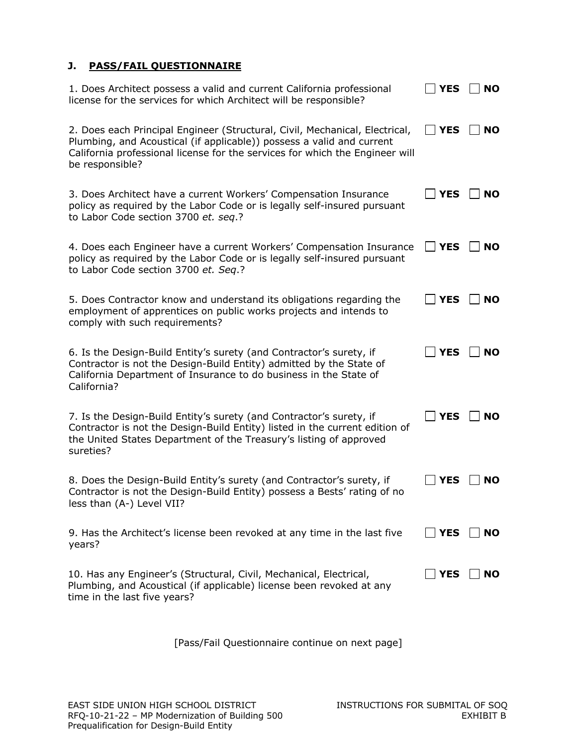## **J. PASS/FAIL QUESTIONNAIRE**

| 1. Does Architect possess a valid and current California professional<br>license for the services for which Architect will be responsible?                                                                                                              | <b>YES</b>  | <b>NO</b> |
|---------------------------------------------------------------------------------------------------------------------------------------------------------------------------------------------------------------------------------------------------------|-------------|-----------|
| 2. Does each Principal Engineer (Structural, Civil, Mechanical, Electrical,<br>Plumbing, and Acoustical (if applicable)) possess a valid and current<br>California professional license for the services for which the Engineer will<br>be responsible? | <b>YES</b>  | <b>NO</b> |
| 3. Does Architect have a current Workers' Compensation Insurance<br>policy as required by the Labor Code or is legally self-insured pursuant<br>to Labor Code section 3700 et. seq.?                                                                    | <b>YES</b>  | <b>NO</b> |
| 4. Does each Engineer have a current Workers' Compensation Insurance<br>policy as required by the Labor Code or is legally self-insured pursuant<br>to Labor Code section 3700 et. Seq.?                                                                | <b>YES</b>  | <b>NO</b> |
| 5. Does Contractor know and understand its obligations regarding the<br>employment of apprentices on public works projects and intends to<br>comply with such requirements?                                                                             | <b>YES</b>  | <b>NO</b> |
| 6. Is the Design-Build Entity's surety (and Contractor's surety, if<br>Contractor is not the Design-Build Entity) admitted by the State of<br>California Department of Insurance to do business in the State of<br>California?                          | <b>YES</b>  | <b>NO</b> |
| 7. Is the Design-Build Entity's surety (and Contractor's surety, if<br>Contractor is not the Design-Build Entity) listed in the current edition of<br>the United States Department of the Treasury's listing of approved<br>sureties?                   | <b>YES</b>  | <b>NO</b> |
| 8. Does the Design-Build Entity's surety (and Contractor's surety, if<br>Contractor is not the Design-Build Entity) possess a Bests' rating of no<br>less than (A-) Level VII?                                                                          | <b>YES</b>  | <b>NO</b> |
| 9. Has the Architect's license been revoked at any time in the last five<br>years?                                                                                                                                                                      | $\vert$ YES | <b>NO</b> |
| 10. Has any Engineer's (Structural, Civil, Mechanical, Electrical,<br>Plumbing, and Acoustical (if applicable) license been revoked at any<br>time in the last five years?                                                                              | <b>YES</b>  | <b>NO</b> |

[Pass/Fail Questionnaire continue on next page]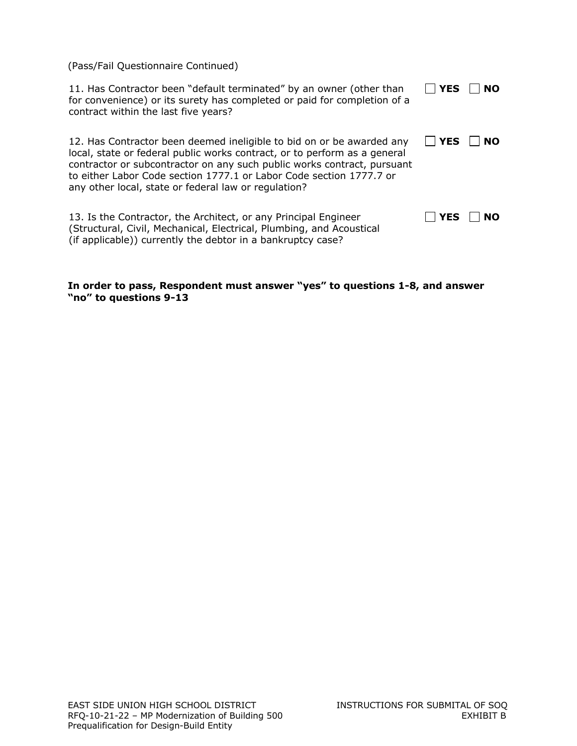(Pass/Fail Questionnaire Continued)

| 11. Has Contractor been "default terminated" by an owner (other than<br>for convenience) or its surety has completed or paid for completion of a<br>contract within the last five years?                                                                                                                                                                     | <b>YES</b> | <b>NO</b> |
|--------------------------------------------------------------------------------------------------------------------------------------------------------------------------------------------------------------------------------------------------------------------------------------------------------------------------------------------------------------|------------|-----------|
| 12. Has Contractor been deemed ineligible to bid on or be awarded any<br>local, state or federal public works contract, or to perform as a general<br>contractor or subcontractor on any such public works contract, pursuant<br>to either Labor Code section 1777.1 or Labor Code section 1777.7 or<br>any other local, state or federal law or regulation? | $\Box$ YES | NO.       |
| 13. Is the Contractor, the Architect, or any Principal Engineer<br>(Structural, Civil, Mechanical, Electrical, Plumbing, and Acoustical<br>(if applicable)) currently the debtor in a bankruptcy case?                                                                                                                                                       | <b>YES</b> | <b>NO</b> |

#### **In order to pass, Respondent must answer "yes" to questions 1-8, and answer "no" to questions 9-13**